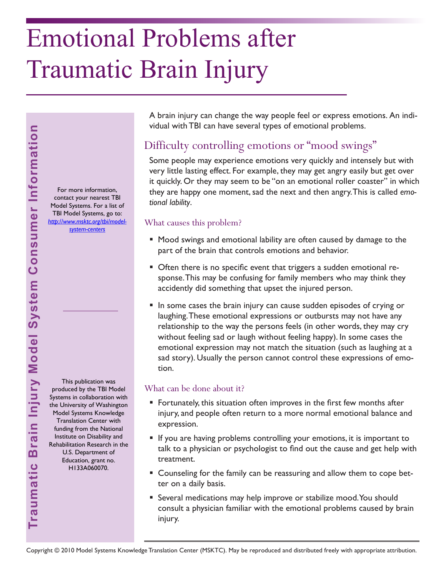# Emotional Problems after Traumatic Brain Injury

For more information, contact your nearest TBI Model Systems. For a list of TBI Model Systems, go to: *[http://www.msktc.org/tbi/model](http://www.msktc.org/tbi/model-system-centers)system-centers* 

produced by the TBI Model Systems in collaboration with the University of Washington Model Systems Knowledge Translation Center with funding from the National Institute on Disability and Rehabilitation Research in the U.S. Department of Education, grant no. H133A060070.

This publication was

A brain injury can change the way people feel or express emotions. An individual with TBI can have several types of emotional problems.

## Difficulty controlling emotions or "mood swings"

Some people may experience emotions very quickly and intensely but with very little lasting effect. For example, they may get angry easily but get over it quickly. Or they may seem to be "on an emotional roller coaster" in which they are happy one moment, sad the next and then angry. This is called *emotional lability*.

#### What causes this problem?

- **Mood swings and emotional lability are often caused by damage to the** part of the brain that controls emotions and behavior.
- Often there is no specific event that triggers a sudden emotional response. This may be confusing for family members who may think they accidently did something that upset the injured person.
- In some cases the brain injury can cause sudden episodes of crying or laughing. These emotional expressions or outbursts may not have any relationship to the way the persons feels (in other words, they may cry without feeling sad or laugh without feeling happy). In some cases the emotional expression may not match the situation (such as laughing at a sad story). Usually the person cannot control these expressions of emotion.

#### What can be done about it?

- Fortunately, this situation often improves in the first few months after injury, and people often return to a more normal emotional balance and expression.
- If you are having problems controlling your emotions, it is important to talk to a physician or psychologist to find out the cause and get help with treatment.
- Counseling for the family can be reassuring and allow them to cope better on a daily basis.
- Several medications may help improve or stabilize mood. You should consult a physician familiar with the emotional problems caused by brain injury.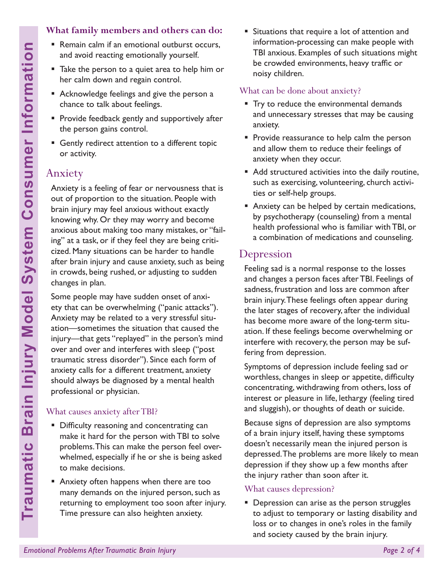#### **What family members and others can do:**

- Remain calm if an emotional outburst occurs, and avoid reacting emotionally yourself.
- **Take the person to a quiet area to help him or** her calm down and regain control.
- **Acknowledge feelings and give the person a** chance to talk about feelings.
- **Provide feedback gently and supportively after** the person gains control.
- Gently redirect attention to a different topic or activity.

#### Anxiety

Anxiety is a feeling of fear or nervousness that is out of proportion to the situation. People with brain injury may feel anxious without exactly knowing why. Or they may worry and become anxious about making too many mistakes, or "failing" at a task, or if they feel they are being criticized. Many situations can be harder to handle after brain injury and cause anxiety, such as being in crowds, being rushed, or adjusting to sudden changes in plan.

**Example 12**<br> **Emotional Problems After Traumation**<br> **Examplemental Properties**<br> **Examplemental Properties**<br> **Examplemental Properties**<br> **Examplemental Properties**<br> **Examplemental Properties**<br> **Examplemental Properties**<br> Some people may have sudden onset of anxiety that can be overwhelming ("panic attacks"). Anxiety may be related to a very stressful situation—sometimes the situation that caused the injury—that gets "replayed" in the person's mind over and over and interferes with sleep ("post traumatic stress disorder"). Since each form of anxiety calls for a different treatment, anxiety should always be diagnosed by a mental health professional or physician.

#### What causes anxiety after TBI?

- **Difficulty reasoning and concentrating can** make it hard for the person with TBI to solve problems. This can make the person feel overwhelmed, especially if he or she is being asked to make decisions.
- **Anxiety often happens when there are too** many demands on the injured person, such as returning to employment too soon after injury. Time pressure can also heighten anxiety.

 Situations that require a lot of attention and information-processing can make people with TBI anxious. Examples of such situations might be crowded environments, heavy traffic or noisy children.

#### What can be done about anxiety?

- **Try to reduce the environmental demands** and unnecessary stresses that may be causing anxiety.
- **Provide reassurance to help calm the person** and allow them to reduce their feelings of anxiety when they occur.
- Add structured activities into the daily routine, such as exercising, volunteering, church activities or self-help groups.
- **Anxiety can be helped by certain medications,** by psychotherapy (counseling) from a mental health professional who is familiar with TBI, or a combination of medications and counseling.

### Depression

Feeling sad is a normal response to the losses and changes a person faces after TBI. Feelings of sadness, frustration and loss are common after brain injury. These feelings often appear during the later stages of recovery, after the individual has become more aware of the long-term situation. If these feelings become overwhelming or interfere with recovery, the person may be suffering from depression.

Symptoms of depression include feeling sad or worthless, changes in sleep or appetite, difficulty concentrating, withdrawing from others, loss of interest or pleasure in life, lethargy (feeling tired and sluggish), or thoughts of death or suicide.

Because signs of depression are also symptoms of a brain injury itself, having these symptoms doesn't necessarily mean the injured person is depressed. The problems are more likely to mean depression if they show up a few months after the injury rather than soon after it.

#### What causes depression?

**•** Depression can arise as the person struggles to adjust to temporary or lasting disability and loss or to changes in one's roles in the family and society caused by the brain injury.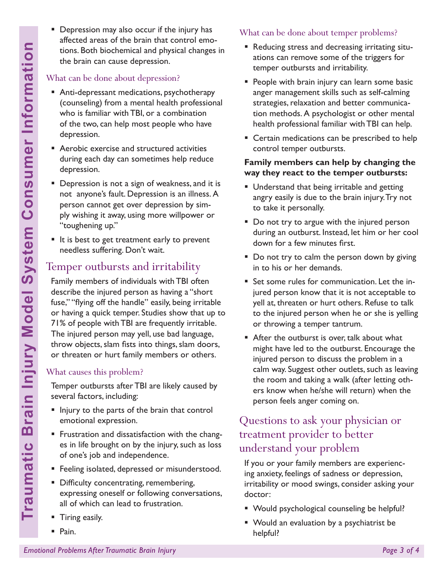**Depression may also occur if the injury has** affected areas of the brain that control emotions. Both biochemical and physical changes in the brain can cause depression.

#### What can be done about depression?

- Anti-depressant medications, psychotherapy (counseling) from a mental health professional who is familiar with TBI, or a combination of the two, can help most people who have depression.
- Aerobic exercise and structured activities during each day can sometimes help reduce depression.
- **Depression is not a sign of weakness, and it is** not anyone's fault. Depression is an illness. A person cannot get over depression by simply wishing it away, using more willpower or "toughening up."
- $\blacksquare$  It is best to get treatment early to prevent needless suffering. Don't wait.

## Temper outbursts and irritability

**Emotional Problems After Traumation**<br> **Emotional Propression**<br> **Emotional Propression**<br> **Emotional Propression**<br> **Consumer After Example 10 model and heat health consumers of the two, can help most people depression.**<br> **P** Family members of individuals with TBI often describe the injured person as having a "short fuse," "flying off the handle" easily, being irritable or having a quick temper. Studies show that up to 71% of people with TBI are frequently irritable. The injured person may yell, use bad language, throw objects, slam fists into things, slam doors, or threaten or hurt family members or others.

## What causes this problem?

Temper outbursts after TBI are likely caused by several factors, including:

- $\blacksquare$  Injury to the parts of the brain that control emotional expression.
- **Frustration and dissatisfaction with the chang**es in life brought on by the injury, such as loss of one's job and independence.
- **Feeling isolated, depressed or misunderstood.**
- Difficulty concentrating, remembering, expressing oneself or following conversations, all of which can lead to frustration.
- **Tiring easily.**
- Pain.

## What can be done about temper problems?

- Reducing stress and decreasing irritating situations can remove some of the triggers for temper outbursts and irritability.
- **People with brain injury can learn some basic** anger management skills such as self-calming strategies, relaxation and better communication methods. A psychologist or other mental health professional familiar with TBI can help.
- **Certain medications can be prescribed to help** control temper outbursts.

#### **Family members can help by changing the way they react to the temper outbursts:**

- **Understand that being irritable and getting** angry easily is due to the brain injury. Try not to take it personally.
- Do not try to argue with the injured person during an outburst. Instead, let him or her cool down for a few minutes first.
- Do not try to calm the person down by giving in to his or her demands.
- Set some rules for communication. Let the injured person know that it is not acceptable to yell at, threaten or hurt others. Refuse to talk to the injured person when he or she is yelling or throwing a temper tantrum.
- After the outburst is over, talk about what might have led to the outburst. Encourage the injured person to discuss the problem in a calm way. Suggest other outlets, such as leaving the room and taking a walk (after letting others know when he/she will return) when the person feels anger coming on.

## Questions to ask your physician or treatment provider to better understand your problem

If you or your family members are experiencing anxiety, feelings of sadness or depression, irritability or mood swings, consider asking your doctor:

- **Would psychological counseling be helpful?**
- Would an evaluation by a psychiatrist be helpful?